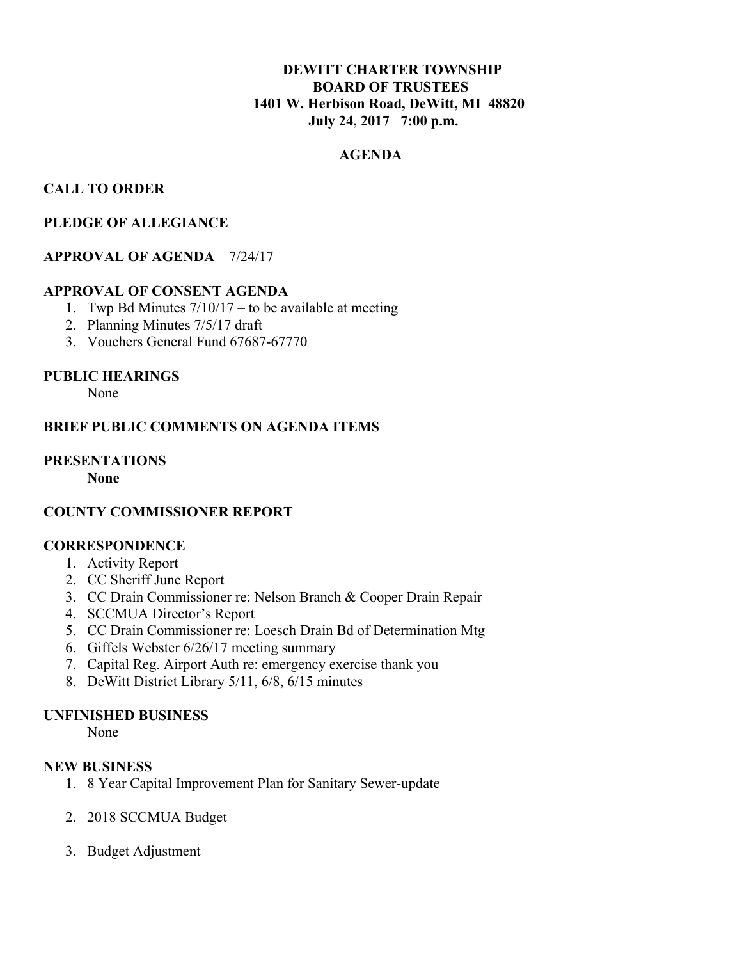# **DEWITT CHARTER TOWNSHIP BOARD OF TRUSTEES 1401 W. Herbison Road, DeWitt, MI 48820 July 24, 2017 7:00 p.m.**

# **AGENDA**

## **CALL TO ORDER**

## **PLEDGE OF ALLEGIANCE**

## **APPROVAL OF AGENDA** 7/24/17

### **APPROVAL OF CONSENT AGENDA**

- 1. Twp Bd Minutes  $7/10/17$  to be available at meeting
- 2. Planning Minutes 7/5/17 draft
- 3. Vouchers General Fund 67687-67770

### **PUBLIC HEARINGS**

None

### **BRIEF PUBLIC COMMENTS ON AGENDA ITEMS**

# **PRESENTATIONS**

 **None**

## **COUNTY COMMISSIONER REPORT**

## **CORRESPONDENCE**

- 1. Activity Report
- 2. CC Sheriff June Report
- 3. CC Drain Commissioner re: Nelson Branch & Cooper Drain Repair
- 4. SCCMUA Director's Report
- 5. CC Drain Commissioner re: Loesch Drain Bd of Determination Mtg
- 6. Giffels Webster 6/26/17 meeting summary
- 7. Capital Reg. Airport Auth re: emergency exercise thank you
- 8. DeWitt District Library 5/11, 6/8, 6/15 minutes

### **UNFINISHED BUSINESS**

None

### **NEW BUSINESS**

- 1. 8 Year Capital Improvement Plan for Sanitary Sewer-update
- 2. 2018 SCCMUA Budget
- 3. Budget Adjustment